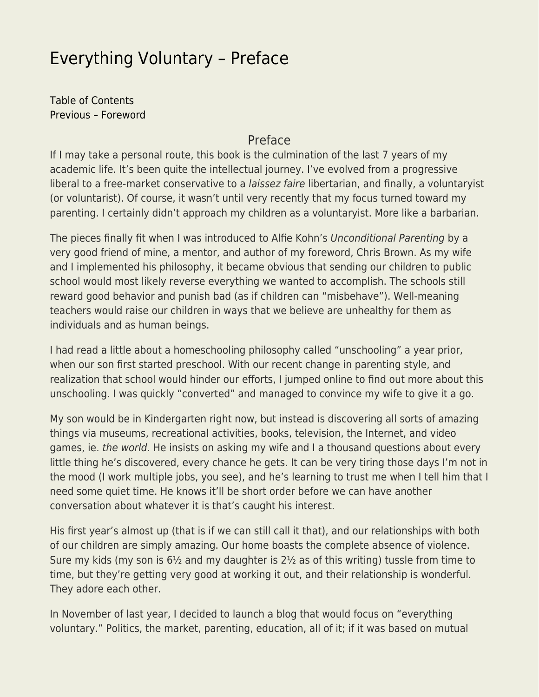## [Everything Voluntary – Preface](https://everything-voluntary.com/everything-voluntary-preface)

[Table of Contents](http://everything-voluntary.com/p/book-project.html) [Previous – Foreword](http://everything-voluntary.com/2012/05/everything-voluntary-foreword.html)

## Preface

If I may take a personal route, this book is the culmination of the last 7 years of my academic life. It's been quite the intellectual journey. I've evolved from a progressive liberal to a free-market conservative to a *laissez faire* libertarian, and finally, a voluntaryist (or voluntarist). Of course, it wasn't until very recently that my focus turned toward my parenting. I certainly didn't approach my children as a voluntaryist. More like a barbarian.

The pieces finally fit when I was introduced to Alfie Kohn's Unconditional Parenting by a very good friend of mine, a mentor, and author of my foreword, Chris Brown. As my wife and I implemented his philosophy, it became obvious that sending our children to public school would most likely reverse everything we wanted to accomplish. The schools still reward good behavior and punish bad (as if children can "misbehave"). Well-meaning teachers would raise our children in ways that we believe are unhealthy for them as individuals and as human beings.

I had read a little about a homeschooling philosophy called "unschooling" a year prior, when our son first started preschool. With our recent change in parenting style, and realization that school would hinder our efforts, I jumped online to find out more about this unschooling. I was quickly "converted" and managed to convince my wife to give it a go.

My son would be in Kindergarten right now, but instead is discovering all sorts of amazing things via museums, recreational activities, books, television, the Internet, and video games, ie. the world. He insists on asking my wife and I a thousand questions about every little thing he's discovered, every chance he gets. It can be very tiring those days I'm not in the mood (I work multiple jobs, you see), and he's learning to trust me when I tell him that I need some quiet time. He knows it'll be short order before we can have another conversation about whatever it is that's caught his interest.

His first year's almost up (that is if we can still call it that), and our relationships with both of our children are simply amazing. Our home boasts the complete absence of violence. Sure my kids (my son is 6½ and my daughter is 2½ as of this writing) tussle from time to time, but they're getting very good at working it out, and their relationship is wonderful. They adore each other.

In November of last year, I decided to launch a blog that would focus on "everything voluntary." Politics, the market, parenting, education, all of it; if it was based on mutual